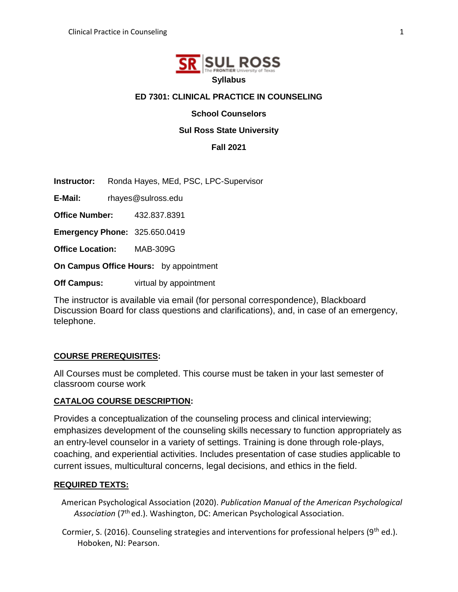

## **ED 7301: CLINICAL PRACTICE IN COUNSELING**

**School Counselors** 

### **Sul Ross State University**

**Fall 2021**

**Instructor:** Ronda Hayes, MEd, PSC, LPC-Supervisor

**E-Mail:** rhayes@sulross.edu

**Office Number:** 432.837.8391

**Emergency Phone:** 325.650.0419

**Office Location:** MAB-309G

**On Campus Office Hours:** by appointment

**Off Campus:** virtual by appointment

The instructor is available via email (for personal correspondence), Blackboard Discussion Board for class questions and clarifications), and, in case of an emergency, telephone.

## **COURSE PREREQUISITES:**

All Courses must be completed. This course must be taken in your last semester of classroom course work

#### **CATALOG COURSE DESCRIPTION:**

Provides a conceptualization of the counseling process and clinical interviewing; emphasizes development of the counseling skills necessary to function appropriately as an entry-level counselor in a variety of settings. Training is done through role-plays, coaching, and experiential activities. Includes presentation of case studies applicable to current issues, multicultural concerns, legal decisions, and ethics in the field.

#### **REQUIRED TEXTS:**

American Psychological Association (2020). *Publication Manual of the American Psychological*  Association (7<sup>th</sup> ed.). Washington, DC: American Psychological Association.

Cormier, S. (2016). Counseling strategies and interventions for professional helpers ( $9<sup>th</sup>$  ed.). Hoboken, NJ: Pearson.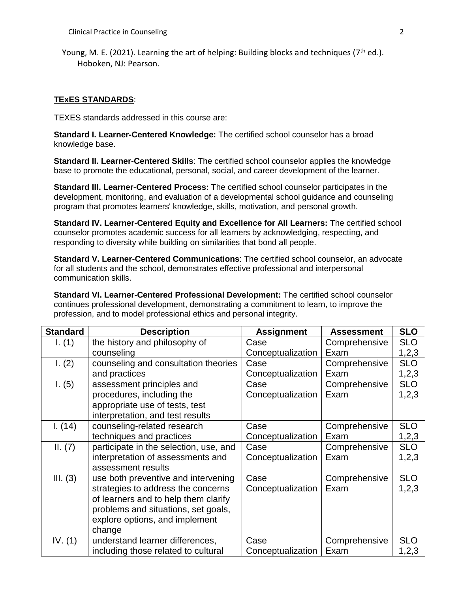Young, M. E. (2021). Learning the art of helping: Building blocks and techniques (7<sup>th</sup> ed.). Hoboken, NJ: Pearson.

#### **TExES STANDARDS**:

TEXES standards addressed in this course are:

**Standard I. Learner-Centered Knowledge:** The certified school counselor has a broad knowledge base.

**Standard II. Learner-Centered Skills**: The certified school counselor applies the knowledge base to promote the educational, personal, social, and career development of the learner.

**Standard III. Learner-Centered Process:** The certified school counselor participates in the development, monitoring, and evaluation of a developmental school guidance and counseling program that promotes learners' knowledge, skills, motivation, and personal growth.

**Standard IV. Learner-Centered Equity and Excellence for All Learners:** The certified school counselor promotes academic success for all learners by acknowledging, respecting, and responding to diversity while building on similarities that bond all people.

**Standard V. Learner-Centered Communications**: The certified school counselor, an advocate for all students and the school, demonstrates effective professional and interpersonal communication skills.

**Standard VI. Learner-Centered Professional Development:** The certified school counselor continues professional development, demonstrating a commitment to learn, to improve the profession, and to model professional ethics and personal integrity.

| <b>Standard</b> | <b>Description</b>                     | <b>Assignment</b> | <b>Assessment</b> | <b>SLO</b> |
|-----------------|----------------------------------------|-------------------|-------------------|------------|
| I. (1)          | the history and philosophy of          | Case              | Comprehensive     | <b>SLO</b> |
|                 | counseling                             | Conceptualization | Exam              | 1,2,3      |
| 1. (2)          | counseling and consultation theories   | Case              | Comprehensive     | <b>SLO</b> |
|                 | and practices                          | Conceptualization | Exam              | 1,2,3      |
| 1. (5)          | assessment principles and              | Case              | Comprehensive     | <b>SLO</b> |
|                 | procedures, including the              | Conceptualization | Exam              | 1,2,3      |
|                 | appropriate use of tests, test         |                   |                   |            |
|                 | interpretation, and test results       |                   |                   |            |
| 1. (14)         | counseling-related research            | Case              | Comprehensive     | <b>SLO</b> |
|                 | techniques and practices               | Conceptualization | Exam              | 1,2,3      |
| II. (7)         | participate in the selection, use, and | Case              | Comprehensive     | <b>SLO</b> |
|                 | interpretation of assessments and      | Conceptualization | Exam              | 1,2,3      |
|                 | assessment results                     |                   |                   |            |
| III. (3)        | use both preventive and intervening    | Case              | Comprehensive     | <b>SLO</b> |
|                 | strategies to address the concerns     | Conceptualization | Exam              | 1,2,3      |
|                 | of learners and to help them clarify   |                   |                   |            |
|                 | problems and situations, set goals,    |                   |                   |            |
|                 | explore options, and implement         |                   |                   |            |
|                 | change                                 |                   |                   |            |
| IV. $(1)$       | understand learner differences,        | Case              | Comprehensive     | <b>SLO</b> |
|                 | including those related to cultural    | Conceptualization | Exam              | 1,2,3      |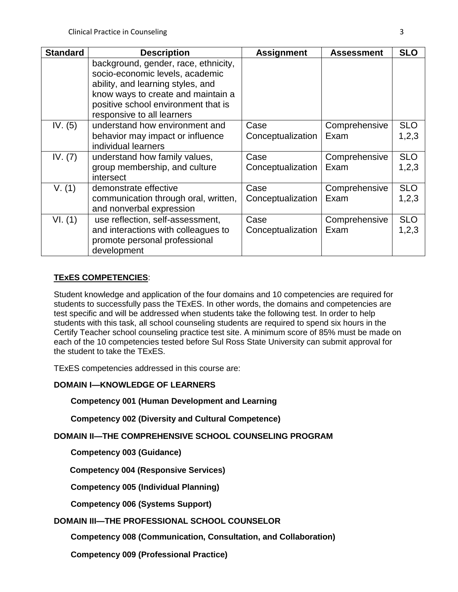| <b>Standard</b> | <b>Description</b>                                                                                                                                                                                                      | <b>Assignment</b>         | <b>Assessment</b>     | <b>SLO</b>          |
|-----------------|-------------------------------------------------------------------------------------------------------------------------------------------------------------------------------------------------------------------------|---------------------------|-----------------------|---------------------|
|                 | background, gender, race, ethnicity,<br>socio-economic levels, academic<br>ability, and learning styles, and<br>know ways to create and maintain a<br>positive school environment that is<br>responsive to all learners |                           |                       |                     |
| IV. $(5)$       | understand how environment and<br>behavior may impact or influence<br>individual learners                                                                                                                               | Case<br>Conceptualization | Comprehensive<br>Exam | <b>SLO</b><br>1,2,3 |
| IV. $(7)$       | understand how family values,<br>group membership, and culture<br>intersect                                                                                                                                             | Case<br>Conceptualization | Comprehensive<br>Exam | <b>SLO</b><br>1,2,3 |
| V. (1)          | demonstrate effective<br>communication through oral, written,<br>and nonverbal expression                                                                                                                               | Case<br>Conceptualization | Comprehensive<br>Exam | <b>SLO</b><br>1,2,3 |
| VI. (1)         | use reflection, self-assessment,<br>and interactions with colleagues to<br>promote personal professional<br>development                                                                                                 | Case<br>Conceptualization | Comprehensive<br>Exam | <b>SLO</b><br>1,2,3 |

## **TExES COMPETENCIES**:

Student knowledge and application of the four domains and 10 competencies are required for students to successfully pass the TExES. In other words, the domains and competencies are test specific and will be addressed when students take the following test. In order to help students with this task, all school counseling students are required to spend six hours in the Certify Teacher school counseling practice test site. A minimum score of 85% must be made on each of the 10 competencies tested before Sul Ross State University can submit approval for the student to take the TExES.

TExES competencies addressed in this course are:

## **DOMAIN I—KNOWLEDGE OF LEARNERS**

**Competency 001 (Human Development and Learning**

**Competency 002 (Diversity and Cultural Competence)**

**DOMAIN II—THE COMPREHENSIVE SCHOOL COUNSELING PROGRAM** 

**Competency 003 (Guidance)**

 **Competency 004 (Responsive Services)**

**Competency 005 (Individual Planning)**

**Competency 006 (Systems Support)**

## **DOMAIN III—THE PROFESSIONAL SCHOOL COUNSELOR**

**Competency 008 (Communication, Consultation, and Collaboration)** 

**Competency 009 (Professional Practice)**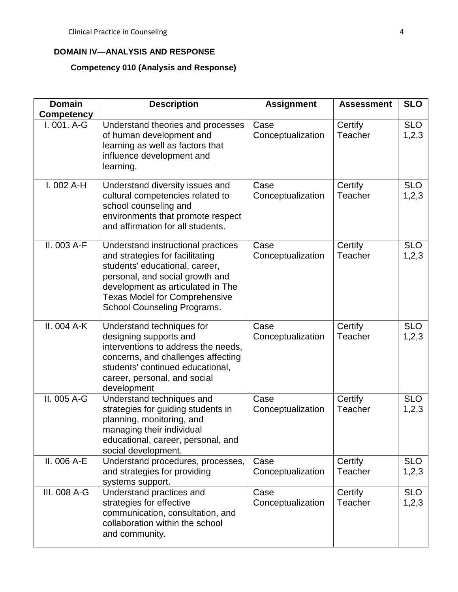## **DOMAIN IV—ANALYSIS AND RESPONSE**

## **Competency 010 (Analysis and Response)**

| <b>Domain</b>                      | <b>Description</b>                                                                                                                                                                                                                                     | <b>Assignment</b>         | <b>Assessment</b>  | <b>SLO</b>          |
|------------------------------------|--------------------------------------------------------------------------------------------------------------------------------------------------------------------------------------------------------------------------------------------------------|---------------------------|--------------------|---------------------|
| <b>Competency</b><br>$I. 001. A-G$ | Understand theories and processes<br>of human development and<br>learning as well as factors that<br>influence development and<br>learning.                                                                                                            | Case<br>Conceptualization | Certify<br>Teacher | <b>SLO</b><br>1,2,3 |
| $I.002A-H$                         | Understand diversity issues and<br>cultural competencies related to<br>school counseling and<br>environments that promote respect<br>and affirmation for all students.                                                                                 | Case<br>Conceptualization | Certify<br>Teacher | <b>SLO</b><br>1,2,3 |
| II. 003 A-F                        | Understand instructional practices<br>and strategies for facilitating<br>students' educational, career,<br>personal, and social growth and<br>development as articulated in The<br><b>Texas Model for Comprehensive</b><br>School Counseling Programs. | Case<br>Conceptualization | Certify<br>Teacher | <b>SLO</b><br>1,2,3 |
| II. 004 A-K                        | Understand techniques for<br>designing supports and<br>interventions to address the needs,<br>concerns, and challenges affecting<br>students' continued educational,<br>career, personal, and social<br>development                                    | Case<br>Conceptualization | Certify<br>Teacher | <b>SLO</b><br>1,2,3 |
| II. 005 A-G                        | Understand techniques and<br>strategies for guiding students in<br>planning, monitoring, and<br>managing their individual<br>educational, career, personal, and<br>social development.                                                                 | Case<br>Conceptualization | Certify<br>Teacher | <b>SLO</b><br>1,2,3 |
| II. 006 $A-E$                      | Understand procedures, processes,<br>and strategies for providing<br>systems support.                                                                                                                                                                  | Case<br>Conceptualization | Certify<br>Teacher | <b>SLO</b><br>1,2,3 |
| III. 008 A-G                       | Understand practices and<br>strategies for effective<br>communication, consultation, and<br>collaboration within the school<br>and community.                                                                                                          | Case<br>Conceptualization | Certify<br>Teacher | <b>SLO</b><br>1,2,3 |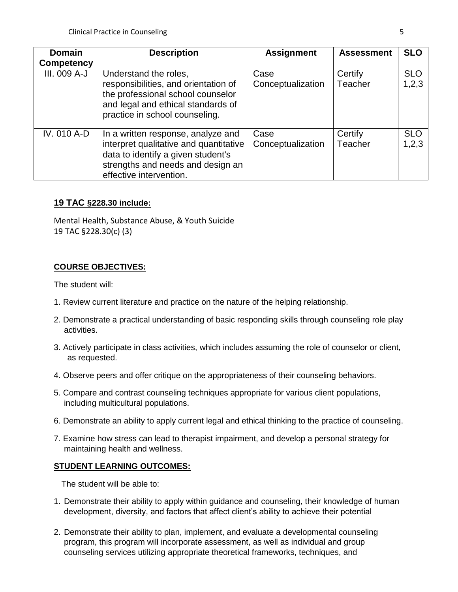| <b>Domain</b> | <b>Description</b>                                                                                                                                                                 | <b>Assignment</b>         | <b>Assessment</b>  | <b>SLO</b>          |
|---------------|------------------------------------------------------------------------------------------------------------------------------------------------------------------------------------|---------------------------|--------------------|---------------------|
| Competency    |                                                                                                                                                                                    |                           |                    |                     |
| III. 009 A-J  | Understand the roles,<br>responsibilities, and orientation of<br>the professional school counselor<br>and legal and ethical standards of<br>practice in school counseling.         | Case<br>Conceptualization | Certify<br>Teacher | <b>SLO</b><br>1,2,3 |
| IV. 010 A-D   | In a written response, analyze and<br>interpret qualitative and quantitative<br>data to identify a given student's<br>strengths and needs and design an<br>effective intervention. | Case<br>Conceptualization | Certify<br>Teacher | <b>SLO</b><br>1,2,3 |

## **19 TAC §228.30 include:**

Mental Health, Substance Abuse, & Youth Suicide 19 TAC §228.30(c) (3)

## **COURSE OBJECTIVES:**

The student will:

- 1. Review current literature and practice on the nature of the helping relationship.
- 2. Demonstrate a practical understanding of basic responding skills through counseling role play activities.
- 3. Actively participate in class activities, which includes assuming the role of counselor or client, as requested.
- 4. Observe peers and offer critique on the appropriateness of their counseling behaviors.
- 5. Compare and contrast counseling techniques appropriate for various client populations, including multicultural populations.
- 6. Demonstrate an ability to apply current legal and ethical thinking to the practice of counseling.
- 7. Examine how stress can lead to therapist impairment, and develop a personal strategy for maintaining health and wellness.

## **STUDENT LEARNING OUTCOMES:**

The student will be able to:

- 1. Demonstrate their ability to apply within guidance and counseling, their knowledge of human development, diversity, and factors that affect client's ability to achieve their potential
- 2. Demonstrate their ability to plan, implement, and evaluate a developmental counseling program, this program will incorporate assessment, as well as individual and group counseling services utilizing appropriate theoretical frameworks, techniques, and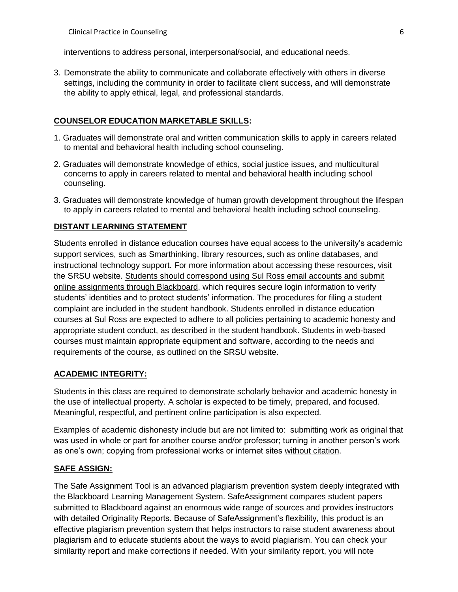interventions to address personal, interpersonal/social, and educational needs.

3. Demonstrate the ability to communicate and collaborate effectively with others in diverse settings, including the community in order to facilitate client success, and will demonstrate the ability to apply ethical, legal, and professional standards.

#### **COUNSELOR EDUCATION MARKETABLE SKILLS:**

- 1. Graduates will demonstrate oral and written communication skills to apply in careers related to mental and behavioral health including school counseling.
- 2. Graduates will demonstrate knowledge of ethics, social justice issues, and multicultural concerns to apply in careers related to mental and behavioral health including school counseling.
- 3. Graduates will demonstrate knowledge of human growth development throughout the lifespan to apply in careers related to mental and behavioral health including school counseling.

#### **DISTANT LEARNING STATEMENT**

Students enrolled in distance education courses have equal access to the university's academic support services, such as Smarthinking, library resources, such as online databases, and instructional technology support. For more information about accessing these resources, visit the SRSU website. Students should correspond using Sul Ross email accounts and submit online assignments through Blackboard, which requires secure login information to verify students' identities and to protect students' information. The procedures for filing a student complaint are included in the student handbook. Students enrolled in distance education courses at Sul Ross are expected to adhere to all policies pertaining to academic honesty and appropriate student conduct, as described in the student handbook. Students in web-based courses must maintain appropriate equipment and software, according to the needs and requirements of the course, as outlined on the SRSU website.

### **ACADEMIC INTEGRITY:**

Students in this class are required to demonstrate scholarly behavior and academic honesty in the use of intellectual property. A scholar is expected to be timely, prepared, and focused. Meaningful, respectful, and pertinent online participation is also expected.

Examples of academic dishonesty include but are not limited to: submitting work as original that was used in whole or part for another course and/or professor; turning in another person's work as one's own; copying from professional works or internet sites without citation.

### **SAFE ASSIGN:**

The Safe Assignment Tool is an advanced plagiarism prevention system deeply integrated with the Blackboard Learning Management System. SafeAssignment compares student papers submitted to Blackboard against an enormous wide range of sources and provides instructors with detailed Originality Reports. Because of SafeAssignment's flexibility, this product is an effective plagiarism prevention system that helps instructors to raise student awareness about plagiarism and to educate students about the ways to avoid plagiarism. You can check your similarity report and make corrections if needed. With your similarity report, you will note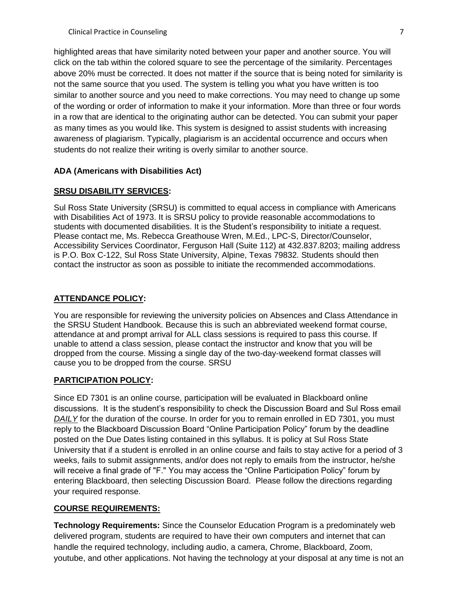highlighted areas that have similarity noted between your paper and another source. You will click on the tab within the colored square to see the percentage of the similarity. Percentages above 20% must be corrected. It does not matter if the source that is being noted for similarity is not the same source that you used. The system is telling you what you have written is too similar to another source and you need to make corrections. You may need to change up some of the wording or order of information to make it your information. More than three or four words in a row that are identical to the originating author can be detected. You can submit your paper as many times as you would like. This system is designed to assist students with increasing awareness of plagiarism. Typically, plagiarism is an accidental occurrence and occurs when students do not realize their writing is overly similar to another source.

## **ADA (Americans with Disabilities Act)**

## **SRSU DISABILITY SERVICES:**

Sul Ross State University (SRSU) is committed to equal access in compliance with Americans with Disabilities Act of 1973. It is SRSU policy to provide reasonable accommodations to students with documented disabilities. It is the Student's responsibility to initiate a request. Please contact me, Ms. Rebecca Greathouse Wren, M.Ed., LPC-S, Director/Counselor, Accessibility Services Coordinator, Ferguson Hall (Suite 112) at 432.837.8203; mailing address is P.O. Box C-122, Sul Ross State University, Alpine, Texas 79832. Students should then contact the instructor as soon as possible to initiate the recommended accommodations.

## **ATTENDANCE POLICY:**

You are responsible for reviewing the university policies on Absences and Class Attendance in the SRSU Student Handbook. Because this is such an abbreviated weekend format course, attendance at and prompt arrival for ALL class sessions is required to pass this course. If unable to attend a class session, please contact the instructor and know that you will be dropped from the course. Missing a single day of the two-day-weekend format classes will cause you to be dropped from the course. SRSU

## **PARTICIPATION POLICY:**

Since ED 7301 is an online course, participation will be evaluated in Blackboard online discussions. It is the student's responsibility to check the Discussion Board and Sul Ross email *DAILY* for the duration of the course. In order for you to remain enrolled in ED 7301, you must reply to the Blackboard Discussion Board "Online Participation Policy" forum by the deadline posted on the Due Dates listing contained in this syllabus. It is policy at Sul Ross State University that if a student is enrolled in an online course and fails to stay active for a period of 3 weeks, fails to submit assignments, and/or does not reply to emails from the instructor, he/she will receive a final grade of "F." You may access the "Online Participation Policy" forum by entering Blackboard, then selecting Discussion Board. Please follow the directions regarding your required response.

## **COURSE REQUIREMENTS:**

**Technology Requirements:** Since the Counselor Education Program is a predominately web delivered program, students are required to have their own computers and internet that can handle the required technology, including audio, a camera, Chrome, Blackboard, Zoom, youtube, and other applications. Not having the technology at your disposal at any time is not an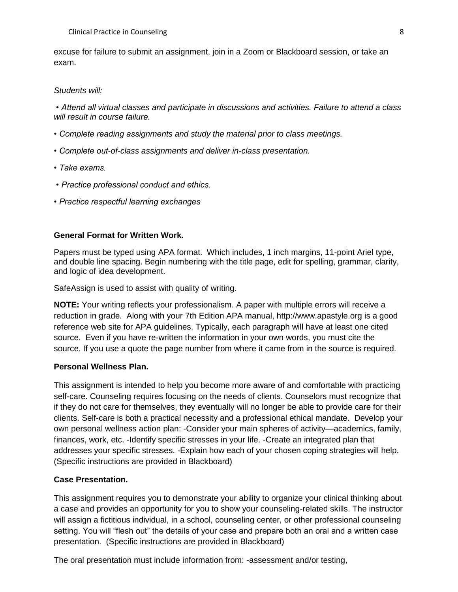excuse for failure to submit an assignment, join in a Zoom or Blackboard session, or take an exam.

#### *Students will:*

*• Attend all virtual classes and participate in discussions and activities. Failure to attend a class will result in course failure.*

- *Complete reading assignments and study the material prior to class meetings.*
- *Complete out-of-class assignments and deliver in-class presentation.*
- *Take exams.*
- *Practice professional conduct and ethics.*
- *Practice respectful learning exchanges*

#### **General Format for Written Work.**

Papers must be typed using APA format. Which includes, 1 inch margins, 11-point Ariel type, and double line spacing. Begin numbering with the title page, edit for spelling, grammar, clarity, and logic of idea development.

SafeAssign is used to assist with quality of writing.

**NOTE:** Your writing reflects your professionalism. A paper with multiple errors will receive a reduction in grade. Along with your 7th Edition APA manual, http://www.apastyle.org is a good reference web site for APA guidelines. Typically, each paragraph will have at least one cited source. Even if you have re-written the information in your own words, you must cite the source. If you use a quote the page number from where it came from in the source is required.

#### **Personal Wellness Plan.**

This assignment is intended to help you become more aware of and comfortable with practicing self-care. Counseling requires focusing on the needs of clients. Counselors must recognize that if they do not care for themselves, they eventually will no longer be able to provide care for their clients. Self-care is both a practical necessity and a professional ethical mandate. Develop your own personal wellness action plan: -Consider your main spheres of activity—academics, family, finances, work, etc. -Identify specific stresses in your life. -Create an integrated plan that addresses your specific stresses. -Explain how each of your chosen coping strategies will help. (Specific instructions are provided in Blackboard)

#### **Case Presentation.**

This assignment requires you to demonstrate your ability to organize your clinical thinking about a case and provides an opportunity for you to show your counseling-related skills. The instructor will assign a fictitious individual, in a school, counseling center, or other professional counseling setting. You will "flesh out" the details of your case and prepare both an oral and a written case presentation. (Specific instructions are provided in Blackboard)

The oral presentation must include information from: -assessment and/or testing,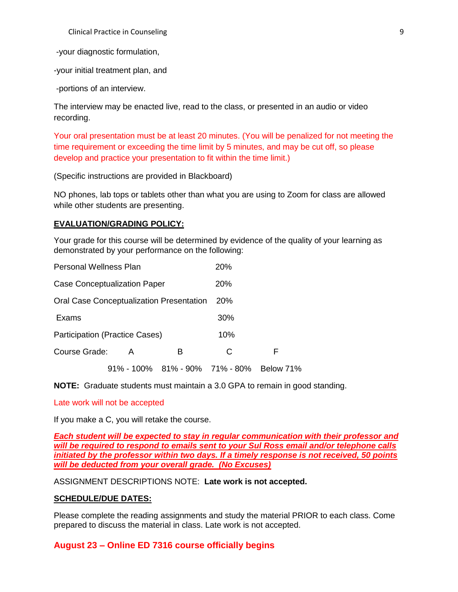Clinical Practice in Counseling 9

-your diagnostic formulation,

-your initial treatment plan, and

-portions of an interview.

The interview may be enacted live, read to the class, or presented in an audio or video recording.

Your oral presentation must be at least 20 minutes. (You will be penalized for not meeting the time requirement or exceeding the time limit by 5 minutes, and may be cut off, so please develop and practice your presentation to fit within the time limit.)

(Specific instructions are provided in Blackboard)

NO phones, lab tops or tablets other than what you are using to Zoom for class are allowed while other students are presenting.

#### **EVALUATION/GRADING POLICY:**

Your grade for this course will be determined by evidence of the quality of your learning as demonstrated by your performance on the following:

| Personal Wellness Plan                   |  | 20%        |                                          |     |   |
|------------------------------------------|--|------------|------------------------------------------|-----|---|
| <b>Case Conceptualization Paper</b>      |  | <b>20%</b> |                                          |     |   |
| Oral Case Conceptualization Presentation |  | <b>20%</b> |                                          |     |   |
| Exams                                    |  |            |                                          | 30% |   |
| <b>Participation (Practice Cases)</b>    |  | 10%        |                                          |     |   |
| Course Grade:                            |  | A          | В                                        | C   | F |
|                                          |  |            | 91% - 100% 81% - 90% 71% - 80% Below 71% |     |   |

**NOTE:** Graduate students must maintain a 3.0 GPA to remain in good standing.

#### Late work will not be accepted

If you make a C, you will retake the course.

*Each student will be expected to stay in regular communication with their professor and will be required to respond to emails sent to your Sul Ross email and/or telephone calls initiated by the professor within two days. If a timely response is not received, 50 points will be deducted from your overall grade. (No Excuses)*

ASSIGNMENT DESCRIPTIONS NOTE: **Late work is not accepted.**

#### **SCHEDULE/DUE DATES:**

Please complete the reading assignments and study the material PRIOR to each class. Come prepared to discuss the material in class. Late work is not accepted.

#### **August 23 – Online ED 7316 course officially begins**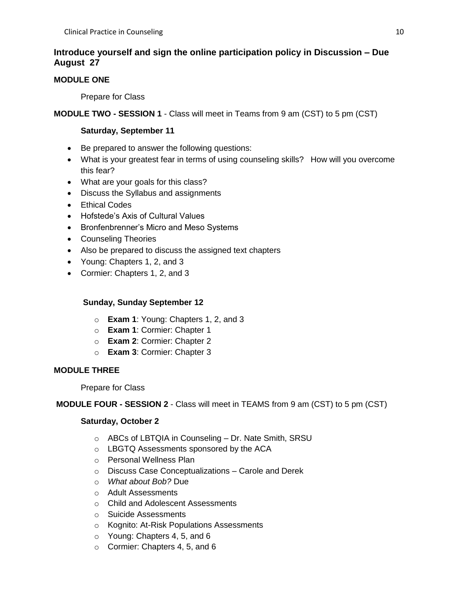## **Introduce yourself and sign the online participation policy in Discussion – Due August 27**

# **MODULE ONE**

Prepare for Class

# **MODULE TWO - SESSION 1** - Class will meet in Teams from 9 am (CST) to 5 pm (CST)

## **Saturday, September 11**

- Be prepared to answer the following questions:
- What is your greatest fear in terms of using counseling skills? How will you overcome this fear?
- What are your goals for this class?
- Discuss the Syllabus and assignments
- Ethical Codes
- Hofstede's Axis of Cultural Values
- Bronfenbrenner's Micro and Meso Systems
- Counseling Theories
- Also be prepared to discuss the assigned text chapters
- Young: Chapters 1, 2, and 3
- Cormier: Chapters 1, 2, and 3

## **Sunday, Sunday September 12**

- o **Exam 1**: Young: Chapters 1, 2, and 3
- o **Exam 1**: Cormier: Chapter 1
- o **Exam 2**: Cormier: Chapter 2
- o **Exam 3**: Cormier: Chapter 3

# **MODULE THREE**

## Prepare for Class

# **MODULE FOUR - SESSION 2** - Class will meet in TEAMS from 9 am (CST) to 5 pm (CST)

## **Saturday, October 2**

- o ABCs of LBTQIA in Counseling Dr. Nate Smith, SRSU
- o LBGTQ Assessments sponsored by the ACA
- o Personal Wellness Plan
- o Discuss Case Conceptualizations Carole and Derek
- o *What about Bob?* Due
- o Adult Assessments
- o Child and Adolescent Assessments
- o Suicide Assessments
- o Kognito: At-Risk Populations Assessments
- o Young: Chapters 4, 5, and 6
- o Cormier: Chapters 4, 5, and 6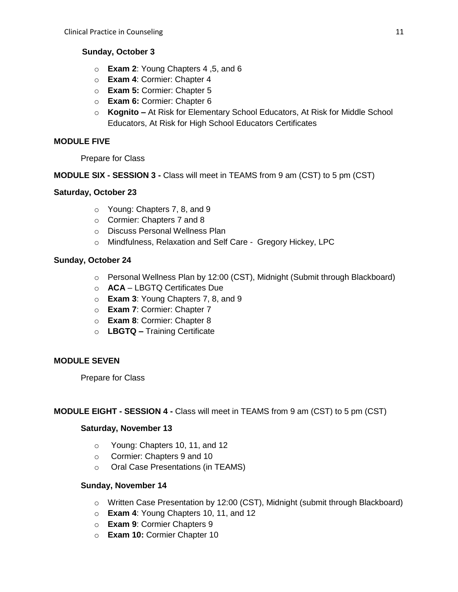## **Sunday, October 3**

- o **Exam 2**: Young Chapters 4 ,5, and 6
- o **Exam 4**: Cormier: Chapter 4
- o **Exam 5:** Cormier: Chapter 5
- o **Exam 6:** Cormier: Chapter 6
- o **Kognito –** At Risk for Elementary School Educators, At Risk for Middle School Educators, At Risk for High School Educators Certificates

## **MODULE FIVE**

Prepare for Class

**MODULE SIX - SESSION 3 -** Class will meet in TEAMS from 9 am (CST) to 5 pm (CST)

## **Saturday, October 23**

- o Young: Chapters 7, 8, and 9
- o Cormier: Chapters 7 and 8
- o Discuss Personal Wellness Plan
- o Mindfulness, Relaxation and Self Care Gregory Hickey, LPC

## **Sunday, October 24**

- o Personal Wellness Plan by 12:00 (CST), Midnight (Submit through Blackboard)
- o **ACA** LBGTQ Certificates Due
- o **Exam 3**: Young Chapters 7, 8, and 9
- o **Exam 7**: Cormier: Chapter 7
- o **Exam 8**: Cormier: Chapter 8
- o **LBGTQ –** Training Certificate

## **MODULE SEVEN**

Prepare for Class

## **MODULE EIGHT - SESSION 4 -** Class will meet in TEAMS from 9 am (CST) to 5 pm (CST)

## **Saturday, November 13**

- o Young: Chapters 10, 11, and 12
- o Cormier: Chapters 9 and 10
- o Oral Case Presentations (in TEAMS)

## **Sunday, November 14**

- $\circ$  Written Case Presentation by 12:00 (CST), Midnight (submit through Blackboard)
- o **Exam 4**: Young Chapters 10, 11, and 12
- o **Exam 9**: Cormier Chapters 9
- o **Exam 10:** Cormier Chapter 10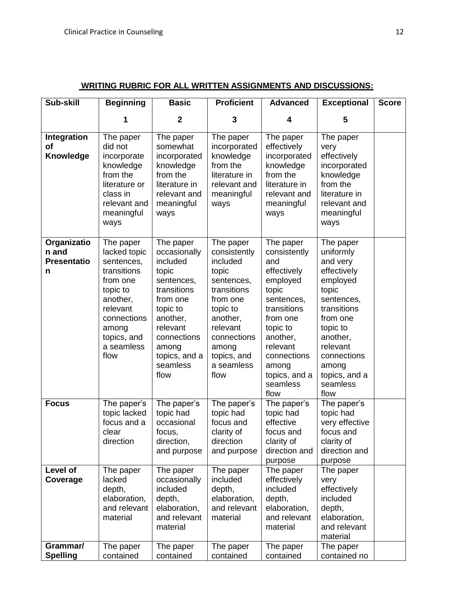| Sub-skill                                       | <b>Beginning</b>                                                                                                                                                    | <b>Basic</b>                                                                                                                                                                             | <b>Proficient</b>                                                                                                                                                                        | <b>Advanced</b>                                                                                                                                                                                                | <b>Exceptional</b>                                                                                                                                                                                               | <b>Score</b> |
|-------------------------------------------------|---------------------------------------------------------------------------------------------------------------------------------------------------------------------|------------------------------------------------------------------------------------------------------------------------------------------------------------------------------------------|------------------------------------------------------------------------------------------------------------------------------------------------------------------------------------------|----------------------------------------------------------------------------------------------------------------------------------------------------------------------------------------------------------------|------------------------------------------------------------------------------------------------------------------------------------------------------------------------------------------------------------------|--------------|
|                                                 | 1                                                                                                                                                                   | $\mathbf{2}$                                                                                                                                                                             | 3                                                                                                                                                                                        | 4                                                                                                                                                                                                              | 5                                                                                                                                                                                                                |              |
| Integration<br><b>of</b><br>Knowledge           | The paper<br>did not<br>incorporate<br>knowledge<br>from the<br>literature or<br>class in<br>relevant and<br>meaningful<br>ways                                     | The paper<br>somewhat<br>incorporated<br>knowledge<br>from the<br>literature in<br>relevant and<br>meaningful<br>ways                                                                    | The paper<br>incorporated<br>knowledge<br>from the<br>literature in<br>relevant and<br>meaningful<br>ways                                                                                | The paper<br>effectively<br>incorporated<br>knowledge<br>from the<br>literature in<br>relevant and<br>meaningful<br>ways                                                                                       | The paper<br>very<br>effectively<br>incorporated<br>knowledge<br>from the<br>literature in<br>relevant and<br>meaningful<br>ways                                                                                 |              |
| Organizatio<br>n and<br><b>Presentatio</b><br>n | The paper<br>lacked topic<br>sentences,<br>transitions<br>from one<br>topic to<br>another,<br>relevant<br>connections<br>among<br>topics, and<br>a seamless<br>flow | The paper<br>occasionally<br>included<br>topic<br>sentences,<br>transitions<br>from one<br>topic to<br>another,<br>relevant<br>connections<br>among<br>topics, and a<br>seamless<br>flow | The paper<br>consistently<br>included<br>topic<br>sentences,<br>transitions<br>from one<br>topic to<br>another,<br>relevant<br>connections<br>among<br>topics, and<br>a seamless<br>flow | The paper<br>consistently<br>and<br>effectively<br>employed<br>topic<br>sentences,<br>transitions<br>from one<br>topic to<br>another,<br>relevant<br>connections<br>among<br>topics, and a<br>seamless<br>flow | The paper<br>uniformly<br>and very<br>effectively<br>employed<br>topic<br>sentences,<br>transitions<br>from one<br>topic to<br>another,<br>relevant<br>connections<br>among<br>topics, and a<br>seamless<br>flow |              |
| <b>Focus</b>                                    | The paper's<br>topic lacked<br>focus and a<br>clear<br>direction                                                                                                    | The paper's<br>topic had<br>occasional<br>focus,<br>direction,<br>and purpose                                                                                                            | The paper's<br>topic had<br>focus and<br>clarity of<br>direction<br>and purpose                                                                                                          | The paper's<br>topic had<br>effective<br>focus and<br>clarity of<br>direction and<br>purpose                                                                                                                   | The paper's<br>topic had<br>very effective<br>focus and<br>clarity of<br>direction and<br>purpose                                                                                                                |              |
| Level of<br>Coverage                            | The paper<br>lacked<br>depth,<br>elaboration,<br>and relevant<br>material                                                                                           | The paper<br>occasionally<br>included<br>depth,<br>elaboration,<br>and relevant<br>material                                                                                              | The paper<br>included<br>depth,<br>elaboration,<br>and relevant<br>material                                                                                                              | The paper<br>effectively<br>included<br>depth,<br>elaboration,<br>and relevant<br>material                                                                                                                     | The paper<br>very<br>effectively<br>included<br>depth,<br>elaboration,<br>and relevant<br>material                                                                                                               |              |
| Grammar/<br><b>Spelling</b>                     | The paper<br>contained                                                                                                                                              | The paper<br>contained                                                                                                                                                                   | The paper<br>contained                                                                                                                                                                   | The paper<br>contained                                                                                                                                                                                         | The paper<br>contained no                                                                                                                                                                                        |              |

## **WRITING RUBRIC FOR ALL WRITTEN ASSIGNMENTS AND DISCUSSIONS:**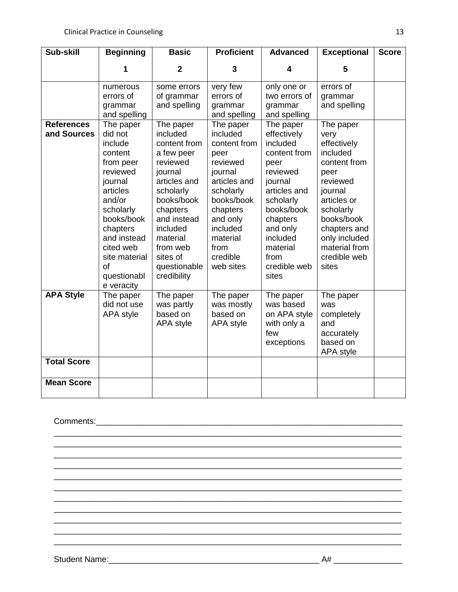| Sub-skill                        | <b>Beginning</b>                                                                                                                                                                                                            | <b>Basic</b>                                                                                                                                                                                                                    | <b>Proficient</b>                                                                                                                                                                                | <b>Advanced</b>                                                                                                                                                                                                 | <b>Exceptional</b>                                                                                                                                                                                               | <b>Score</b> |
|----------------------------------|-----------------------------------------------------------------------------------------------------------------------------------------------------------------------------------------------------------------------------|---------------------------------------------------------------------------------------------------------------------------------------------------------------------------------------------------------------------------------|--------------------------------------------------------------------------------------------------------------------------------------------------------------------------------------------------|-----------------------------------------------------------------------------------------------------------------------------------------------------------------------------------------------------------------|------------------------------------------------------------------------------------------------------------------------------------------------------------------------------------------------------------------|--------------|
|                                  | 1                                                                                                                                                                                                                           | $\overline{2}$                                                                                                                                                                                                                  | 3                                                                                                                                                                                                | 4                                                                                                                                                                                                               | 5                                                                                                                                                                                                                |              |
|                                  | numerous<br>errors of<br>grammar<br>and spelling                                                                                                                                                                            | some errors<br>of grammar<br>and spelling                                                                                                                                                                                       | very few<br>errors of<br>grammar<br>and spelling                                                                                                                                                 | only one or<br>two errors of<br>grammar<br>and spelling                                                                                                                                                         | errors of<br>grammar<br>and spelling                                                                                                                                                                             |              |
| <b>References</b><br>and Sources | The paper<br>did not<br>include<br>content<br>from peer<br>reviewed<br>journal<br>articles<br>and/or<br>scholarly<br>books/book<br>chapters<br>and instead<br>cited web<br>site material<br>of<br>questionabl<br>e veracity | The paper<br>included<br>content from<br>a few peer<br>reviewed<br>journal<br>articles and<br>scholarly<br>books/book<br>chapters<br>and instead<br>included<br>material<br>from web<br>sites of<br>questionable<br>credibility | The paper<br>included<br>content from<br>peer<br>reviewed<br>journal<br>articles and<br>scholarly<br>books/book<br>chapters<br>and only<br>included<br>material<br>from<br>credible<br>web sites | The paper<br>effectively<br>included<br>content from<br>peer<br>reviewed<br>journal<br>articles and<br>scholarly<br>books/book<br>chapters<br>and only<br>included<br>material<br>from<br>credible web<br>sites | The paper<br>very<br>effectively<br>included<br>content from<br>peer<br>reviewed<br>journal<br>articles or<br>scholarly<br>books/book<br>chapters and<br>only included<br>material from<br>credible web<br>sites |              |
| <b>APA Style</b>                 | The paper<br>did not use<br><b>APA</b> style                                                                                                                                                                                | The paper<br>was partly<br>based on<br>APA style                                                                                                                                                                                | The paper<br>was mostly<br>based on<br>APA style                                                                                                                                                 | The paper<br>was based<br>on APA style<br>with only a<br>few<br>exceptions                                                                                                                                      | The paper<br>was<br>completely<br>and<br>accurately<br>based on<br>APA style                                                                                                                                     |              |
| <b>Total Score</b>               |                                                                                                                                                                                                                             |                                                                                                                                                                                                                                 |                                                                                                                                                                                                  |                                                                                                                                                                                                                 |                                                                                                                                                                                                                  |              |
| <b>Mean Score</b>                |                                                                                                                                                                                                                             |                                                                                                                                                                                                                                 |                                                                                                                                                                                                  |                                                                                                                                                                                                                 |                                                                                                                                                                                                                  |              |

\_\_\_\_\_\_\_\_\_\_\_\_\_\_\_\_\_\_\_\_\_\_\_\_\_\_\_\_\_\_\_\_\_\_\_\_\_\_\_\_\_\_\_\_\_\_\_\_\_\_\_\_\_\_\_\_\_\_\_\_\_\_\_\_\_\_\_\_\_\_\_\_\_\_\_\_ \_\_\_\_\_\_\_\_\_\_\_\_\_\_\_\_\_\_\_\_\_\_\_\_\_\_\_\_\_\_\_\_\_\_\_\_\_\_\_\_\_\_\_\_\_\_\_\_\_\_\_\_\_\_\_\_\_\_\_\_\_\_\_\_\_\_\_\_\_\_\_\_\_\_\_\_ \_\_\_\_\_\_\_\_\_\_\_\_\_\_\_\_\_\_\_\_\_\_\_\_\_\_\_\_\_\_\_\_\_\_\_\_\_\_\_\_\_\_\_\_\_\_\_\_\_\_\_\_\_\_\_\_\_\_\_\_\_\_\_\_\_\_\_\_\_\_\_\_\_\_\_\_ \_\_\_\_\_\_\_\_\_\_\_\_\_\_\_\_\_\_\_\_\_\_\_\_\_\_\_\_\_\_\_\_\_\_\_\_\_\_\_\_\_\_\_\_\_\_\_\_\_\_\_\_\_\_\_\_\_\_\_\_\_\_\_\_\_\_\_\_\_\_\_\_\_\_\_\_ \_\_\_\_\_\_\_\_\_\_\_\_\_\_\_\_\_\_\_\_\_\_\_\_\_\_\_\_\_\_\_\_\_\_\_\_\_\_\_\_\_\_\_\_\_\_\_\_\_\_\_\_\_\_\_\_\_\_\_\_\_\_\_\_\_\_\_\_\_\_\_\_\_\_\_\_ \_\_\_\_\_\_\_\_\_\_\_\_\_\_\_\_\_\_\_\_\_\_\_\_\_\_\_\_\_\_\_\_\_\_\_\_\_\_\_\_\_\_\_\_\_\_\_\_\_\_\_\_\_\_\_\_\_\_\_\_\_\_\_\_\_\_\_\_\_\_\_\_\_\_\_\_ \_\_\_\_\_\_\_\_\_\_\_\_\_\_\_\_\_\_\_\_\_\_\_\_\_\_\_\_\_\_\_\_\_\_\_\_\_\_\_\_\_\_\_\_\_\_\_\_\_\_\_\_\_\_\_\_\_\_\_\_\_\_\_\_\_\_\_\_\_\_\_\_\_\_\_\_ \_\_\_\_\_\_\_\_\_\_\_\_\_\_\_\_\_\_\_\_\_\_\_\_\_\_\_\_\_\_\_\_\_\_\_\_\_\_\_\_\_\_\_\_\_\_\_\_\_\_\_\_\_\_\_\_\_\_\_\_\_\_\_\_\_\_\_\_\_\_\_\_\_\_\_\_ \_\_\_\_\_\_\_\_\_\_\_\_\_\_\_\_\_\_\_\_\_\_\_\_\_\_\_\_\_\_\_\_\_\_\_\_\_\_\_\_\_\_\_\_\_\_\_\_\_\_\_\_\_\_\_\_\_\_\_\_\_\_\_\_\_\_\_\_\_\_\_\_\_\_\_\_ \_\_\_\_\_\_\_\_\_\_\_\_\_\_\_\_\_\_\_\_\_\_\_\_\_\_\_\_\_\_\_\_\_\_\_\_\_\_\_\_\_\_\_\_\_\_\_\_\_\_\_\_\_\_\_\_\_\_\_\_\_\_\_\_\_\_\_\_\_\_\_\_\_\_\_\_ \_\_\_\_\_\_\_\_\_\_\_\_\_\_\_\_\_\_\_\_\_\_\_\_\_\_\_\_\_\_\_\_\_\_\_\_\_\_\_\_\_\_\_\_\_\_\_\_\_\_\_\_\_\_\_\_\_\_\_\_\_\_\_\_\_\_\_\_\_\_\_\_\_\_\_\_

Comments:\_\_\_\_\_\_\_\_\_\_\_\_\_\_\_\_\_\_\_\_\_\_\_\_\_\_\_\_\_\_\_\_\_\_\_\_\_\_\_\_\_\_\_\_\_\_\_\_\_\_\_\_\_\_\_\_\_\_\_\_\_\_\_\_\_\_\_